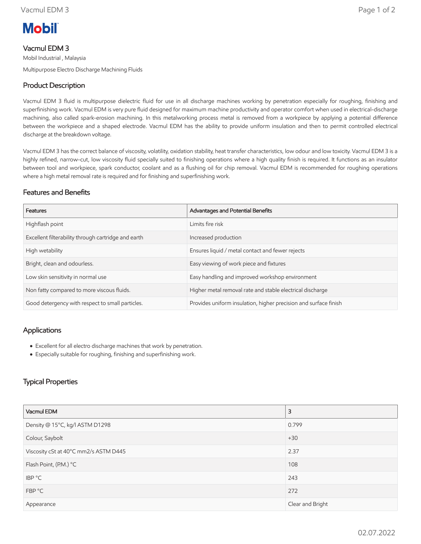

# Vacmul EDM 3

Mobil Industrial , Malaysia Multipurpose Electro Discharge Machining Fluids

# Product Description

Vacmul EDM 3 fluid is multipurpose dielectric fluid for use in all discharge machines working by penetration especially for roughing, finishing and superfinishing work. Vacmul EDM is very pure fluid designed for maximum machine productivity and operator comfort when used in electrical-discharge machining, also called spark-erosion machining. In this metalworking process metal is removed from a workpiece by applying a potential difference between the workpiece and a shaped electrode. Vacmul EDM has the ability to provide uniform insulation and then to permit controlled electrical discharge at the breakdown voltage.

Vacmul EDM 3 has the correct balance of viscosity, volatility, oxidation stability, heat transfer characteristics, low odour and low toxicity. Vacmul EDM 3 is a highly refined, narrow-cut, low viscosity fluid specially suited to finishing operations where a high quality finish is required. It functions as an insulator between tool and workpiece, spark conductor, coolant and as a flushing oil for chip removal. Vacmul EDM is recommended for roughing operations where a high metal removal rate is required and for finishing and superfinishing work.

#### Features and Benefits

| Features                                            | Advantages and Potential Benefits                                |
|-----------------------------------------------------|------------------------------------------------------------------|
| Highflash point                                     | Limits fire risk                                                 |
| Excellent filterability through cartridge and earth | Increased production                                             |
| High wetability                                     | Ensures liquid / metal contact and fewer rejects                 |
| Bright, clean and odourless.                        | Easy viewing of work piece and fixtures                          |
| Low skin sensitivity in normal use                  | Easy handling and improved workshop environment                  |
| Non fatty compared to more viscous fluids.          | Higher metal removal rate and stable electrical discharge        |
| Good detergency with respect to small particles.    | Provides uniform insulation, higher precision and surface finish |

### Applications

- Excellent for all electro discharge machines that work by penetration.
- Especially suitable for roughing, finishing and superfinishing work.

## Typical Properties

| Vacmul EDM                            | 3                |  |
|---------------------------------------|------------------|--|
| Density @ 15°C, kg/l ASTM D1298       | 0.799            |  |
| Colour, Saybolt                       | $+30$            |  |
| Viscosity cSt at 40°C mm2/s ASTM D445 | 2.37             |  |
| Flash Point, (P.M.) °C                | 108              |  |
| IBP °C                                | 243              |  |
| FBP °C                                | 272              |  |
| Appearance                            | Clear and Bright |  |